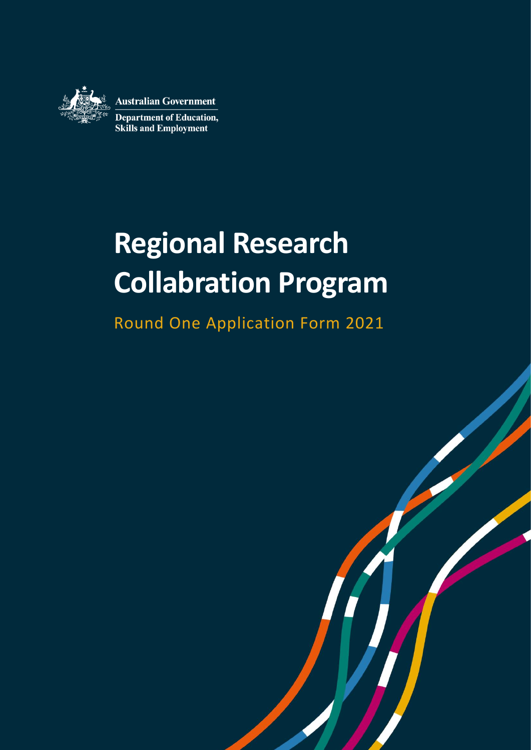

**Australian Government** 

**Department of Education, Skills and Employment** 

# **Regional Research Collabration Program**

Round One Application Form 2021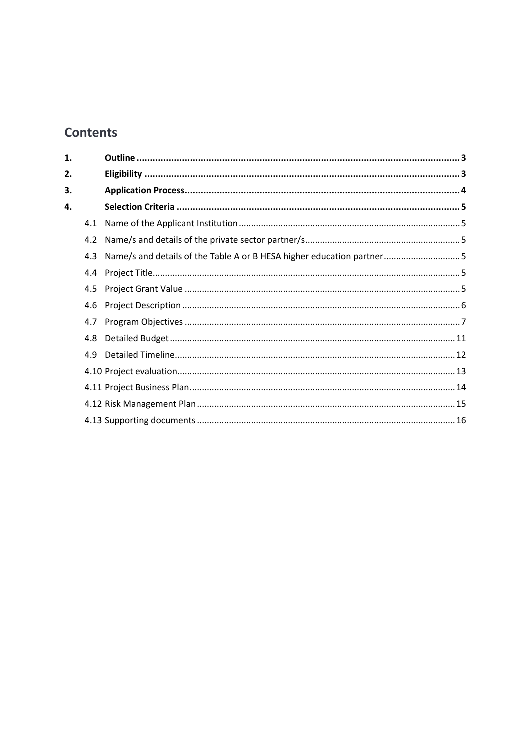# **Contents**

| 4.1 |                                                                       |
|-----|-----------------------------------------------------------------------|
| 4.2 |                                                                       |
| 4.3 |                                                                       |
| 4.4 |                                                                       |
| 4.5 |                                                                       |
| 4.6 |                                                                       |
|     |                                                                       |
| 4.8 |                                                                       |
| 4.9 |                                                                       |
|     |                                                                       |
|     |                                                                       |
|     |                                                                       |
|     |                                                                       |
|     | Name/s and details of the Table A or B HESA higher education partner5 |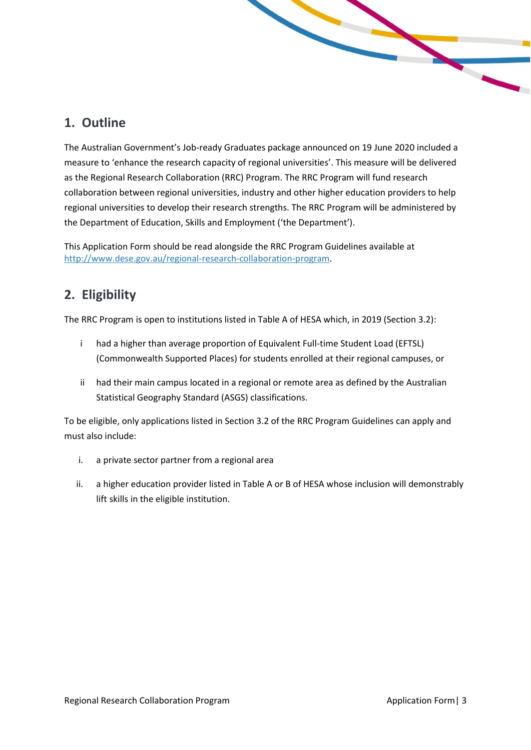# <span id="page-2-0"></span>**1. Outline**

The Australian Government's Job-ready Graduates package announced on 19 June 2020 included a measure to 'enhance the research capacity of regional universities'. This measure will be delivered as the Regional Research Collaboration (RRC) Program. The RRC Program will fund research collaboration between regional universities, industry and other higher education providers to help regional universities to develop their research strengths. The RRC Program will be administered by the Department of Education, Skills and Employment ('the Department').

This Application Form should be read alongside the RRC Program Guidelines available at [http://www.dese.gov.au/regional-research-collaboration-program.](http://www.dese.gov.au/regional-research-collaboration-program)

# <span id="page-2-1"></span>**2. Eligibility**

The RRC Program is open to institutions listed in Table A of HESA which, in 2019 (Section 3.2):

- i had a higher than average proportion of Equivalent Full-time Student Load (EFTSL) (Commonwealth Supported Places) for students enrolled at their regional campuses, or
- ii had their main campus located in a regional or remote area as defined by the Australian Statistical Geography Standard (ASGS) classifications.

To be eligible, only applications listed in Section 3.2 of the RRC Program Guidelines can apply and must also include:

- i. a private sector partner from a regional area
- ii. a higher education provider listed in Table A or B of HESA whose inclusion will demonstrably lift skills in the eligible institution.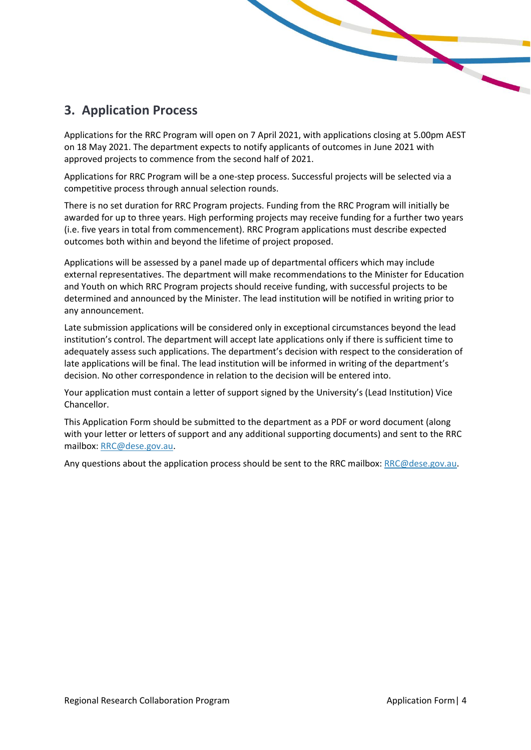# <span id="page-3-0"></span>**3. Application Process**

Applications for the RRC Program will open on 7 April 2021, with applications closing at 5.00pm AEST on 18 May 2021. The department expects to notify applicants of outcomes in June 2021 with approved projects to commence from the second half of 2021.

Applications for RRC Program will be a one-step process. Successful projects will be selected via a competitive process through annual selection rounds.

There is no set duration for RRC Program projects. Funding from the RRC Program will initially be awarded for up to three years. High performing projects may receive funding for a further two years (i.e. five years in total from commencement). RRC Program applications must describe expected outcomes both within and beyond the lifetime of project proposed.

Applications will be assessed by a panel made up of departmental officers which may include external representatives. The department will make recommendations to the Minister for Education and Youth on which RRC Program projects should receive funding, with successful projects to be determined and announced by the Minister. The lead institution will be notified in writing prior to any announcement.

Late submission applications will be considered only in exceptional circumstances beyond the lead institution's control. The department will accept late applications only if there is sufficient time to adequately assess such applications. The department's decision with respect to the consideration of late applications will be final. The lead institution will be informed in writing of the department's decision. No other correspondence in relation to the decision will be entered into.

Your application must contain a letter of support signed by the University's (Lead Institution) Vice Chancellor.

This Application Form should be submitted to the department as a PDF or word document (along with your letter or letters of support and any additional supporting documents) and sent to the RRC mailbox: [RRC@dese.gov.au.](mailto:SURF@dese.gov.au)

Any questions about the application process should be sent to the RRC mailbox: [RRC@dese.gov.au.](mailto:RRC@dese.gov.au)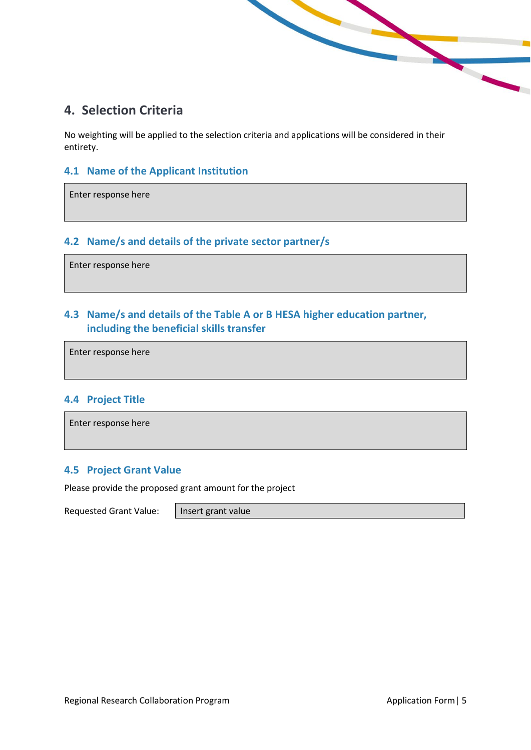# <span id="page-4-0"></span>**4. Selection Criteria**

No weighting will be applied to the selection criteria and applications will be considered in their entirety.

#### <span id="page-4-1"></span>**4.1 Name of the Applicant Institution**

Enter response here

### <span id="page-4-2"></span>**4.2 Name/s and details of the private sector partner/s**

Enter response here

## <span id="page-4-3"></span>**4.3 Name/s and details of the Table A or B HESA higher education partner, including the beneficial skills transfer**

Enter response here

#### <span id="page-4-4"></span>**4.4 Project Title**

Enter response here

#### <span id="page-4-5"></span>**4.5 Project Grant Value**

Please provide the proposed grant amount for the project

Requested Grant Value: | Insert grant value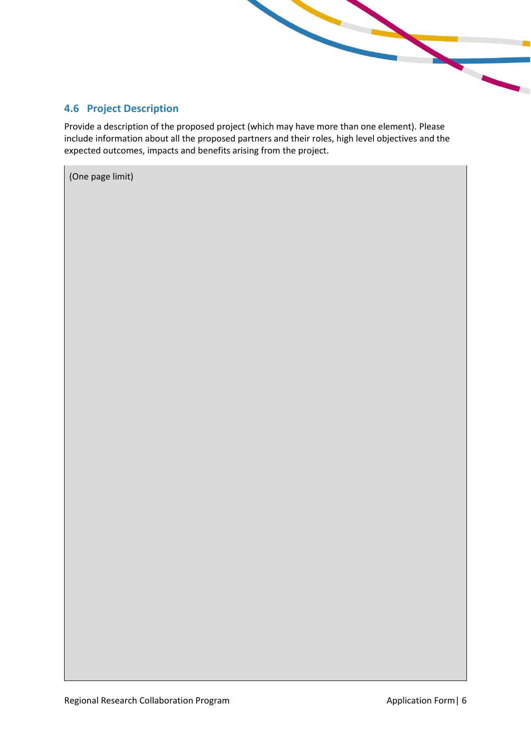## <span id="page-5-0"></span>**4.6 Project Description**

Provide a description of the proposed project (which may have more than one element). Please include information about all the proposed partners and their roles, high level objectives and the expected outcomes, impacts and benefits arising from the project.

(One page limit)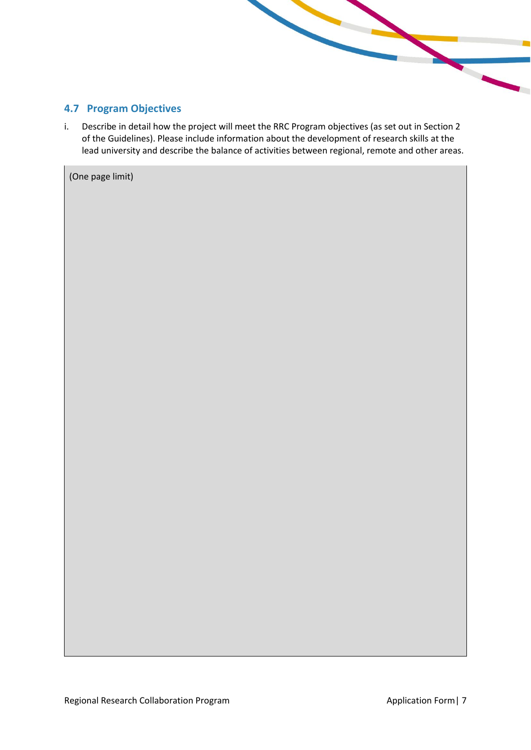#### <span id="page-6-0"></span>**4.7 Program Objectives**

i. Describe in detail how the project will meet the RRC Program objectives (as set out in Section 2 of the Guidelines). Please include information about the development of research skills at the lead university and describe the balance of activities between regional, remote and other areas.

(One page limit)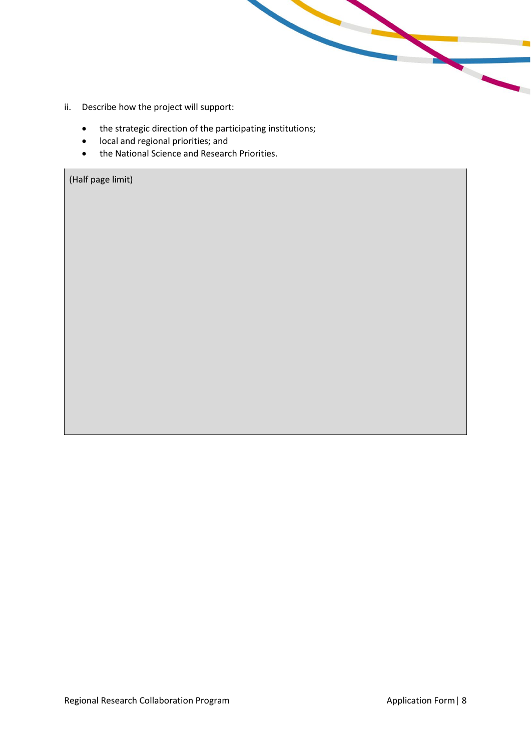- ii. Describe how the project will support:
	- the strategic direction of the participating institutions;
	- local and regional priorities; and
	- the National Science and Research Priorities.

(Half page limit)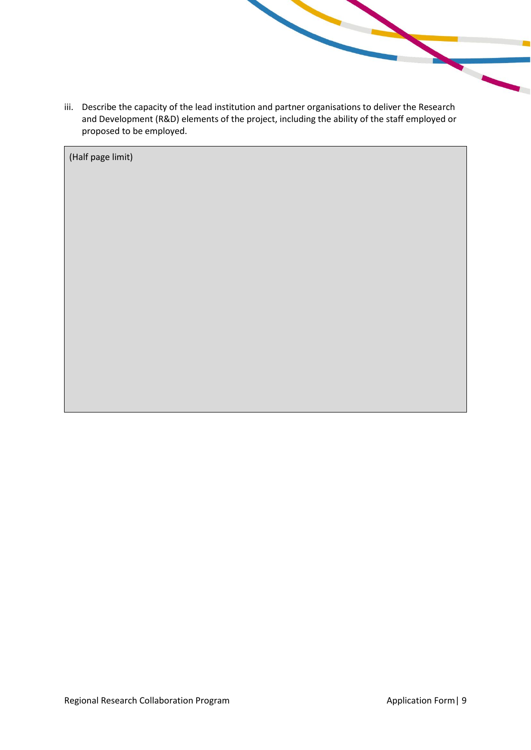iii. Describe the capacity of the lead institution and partner organisations to deliver the Research and Development (R&D) elements of the project, including the ability of the staff employed or proposed to be employed.

(Half page limit)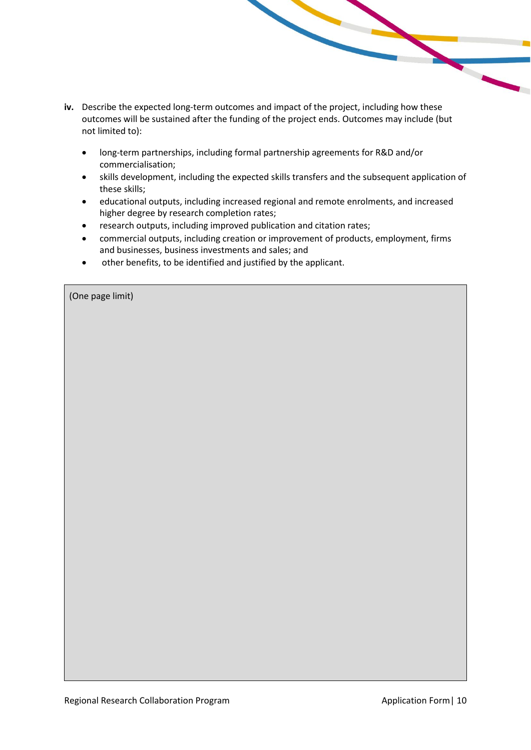- **iv.** Describe the expected long-term outcomes and impact of the project, including how these outcomes will be sustained after the funding of the project ends. Outcomes may include (but not limited to):
	- long-term partnerships, including formal partnership agreements for R&D and/or commercialisation;
	- skills development, including the expected skills transfers and the subsequent application of these skills;
	- educational outputs, including increased regional and remote enrolments, and increased higher degree by research completion rates;
	- research outputs, including improved publication and citation rates;
	- commercial outputs, including creation or improvement of products, employment, firms and businesses, business investments and sales; and
	- other benefits, to be identified and justified by the applicant.

|  | (One page limit) |
|--|------------------|
|  |                  |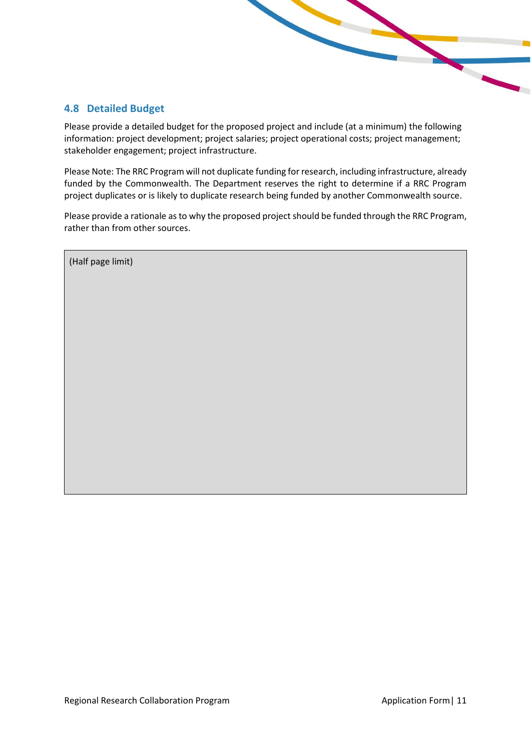#### <span id="page-10-0"></span>**4.8 Detailed Budget**

Please provide a detailed budget for the proposed project and include (at a minimum) the following information: project development; project salaries; project operational costs; project management; stakeholder engagement; project infrastructure.

Please Note: The RRC Program will not duplicate funding for research, including infrastructure, already funded by the Commonwealth. The Department reserves the right to determine if a RRC Program project duplicates or is likely to duplicate research being funded by another Commonwealth source.

Please provide a rationale as to why the proposed project should be funded through the RRC Program, rather than from other sources.

(Half page limit)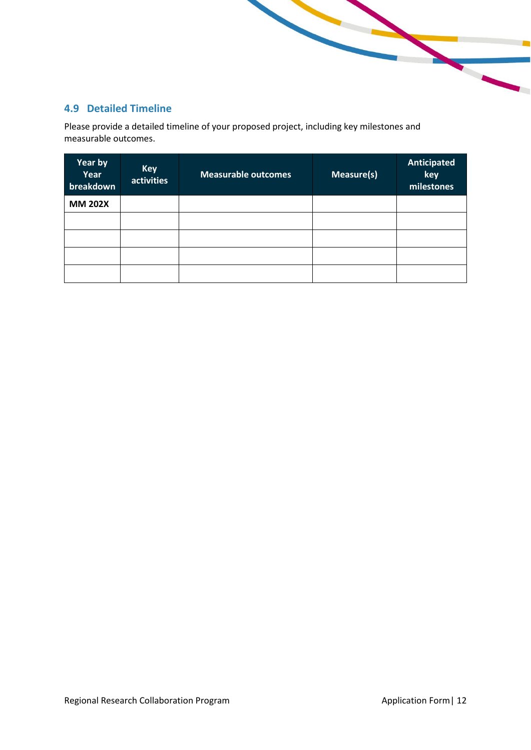## <span id="page-11-0"></span>**4.9 Detailed Timeline**

Please provide a detailed timeline of your proposed project, including key milestones and measurable outcomes.

| Year by<br>Year<br>breakdown | <b>Key</b><br>activities | <b>Measurable outcomes</b> | Measure(s) | Anticipated<br>key<br>milestones |
|------------------------------|--------------------------|----------------------------|------------|----------------------------------|
| <b>MM 202X</b>               |                          |                            |            |                                  |
|                              |                          |                            |            |                                  |
|                              |                          |                            |            |                                  |
|                              |                          |                            |            |                                  |
|                              |                          |                            |            |                                  |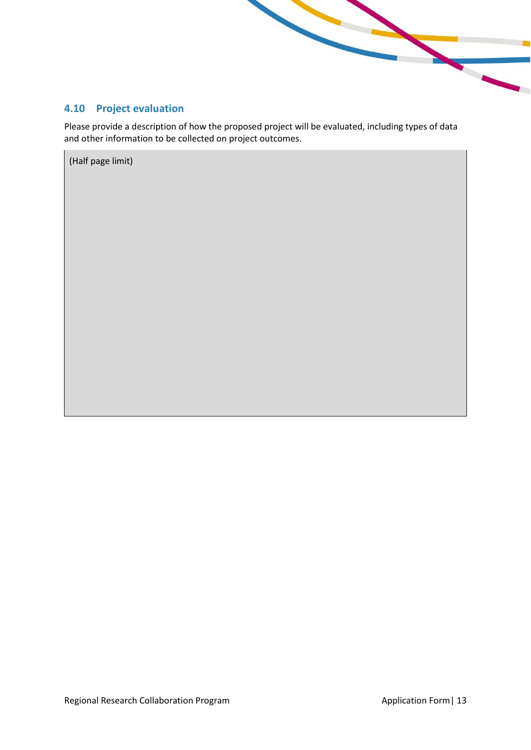<span id="page-12-0"></span>

Please provide a description of how the proposed project will be evaluated, including types of data and other information to be collected on project outcomes.

(Half page limit)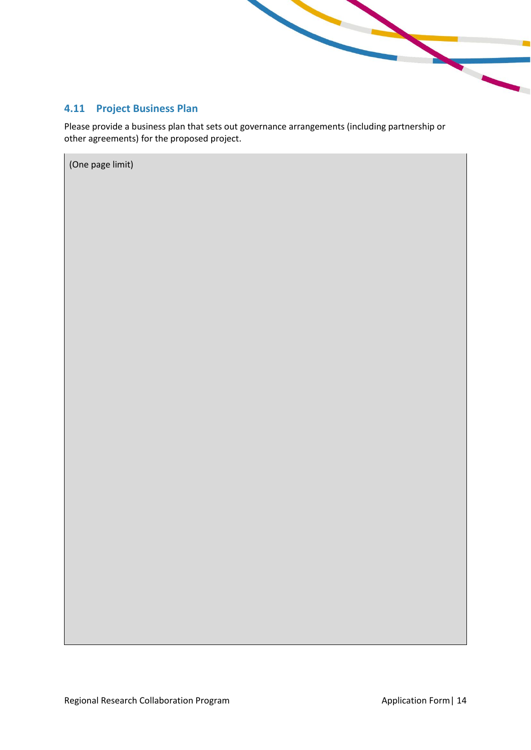

## <span id="page-13-0"></span>**4.11 Project Business Plan**

Please provide a business plan that sets out governance arrangements (including partnership or other agreements) for the proposed project.

(One page limit)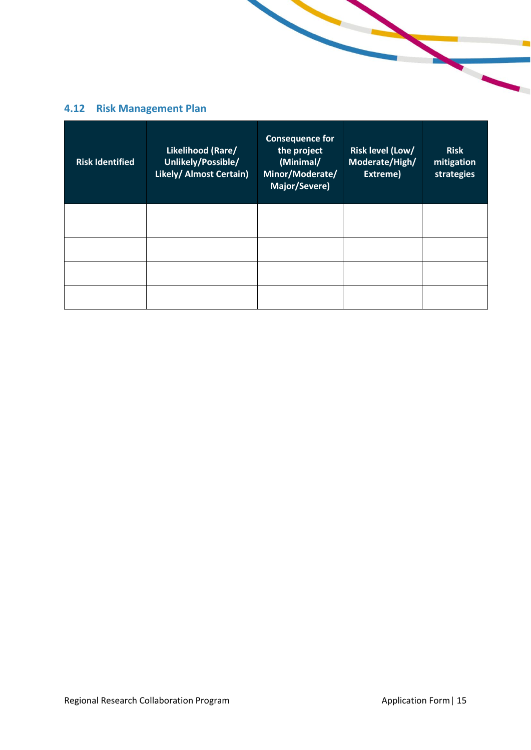# <span id="page-14-0"></span>**4.12 Risk Management Plan**

| <b>Risk Identified</b> | Likelihood (Rare/<br>Unlikely/Possible/<br>Likely/ Almost Certain) | <b>Consequence for</b><br>the project<br>(Minimal/<br>Minor/Moderate/<br>Major/Severe) | Risk level (Low/<br>Moderate/High/<br>Extreme) | <b>Risk</b><br>mitigation<br>strategies |
|------------------------|--------------------------------------------------------------------|----------------------------------------------------------------------------------------|------------------------------------------------|-----------------------------------------|
|                        |                                                                    |                                                                                        |                                                |                                         |
|                        |                                                                    |                                                                                        |                                                |                                         |
|                        |                                                                    |                                                                                        |                                                |                                         |
|                        |                                                                    |                                                                                        |                                                |                                         |

 $\overline{\phantom{a}}$